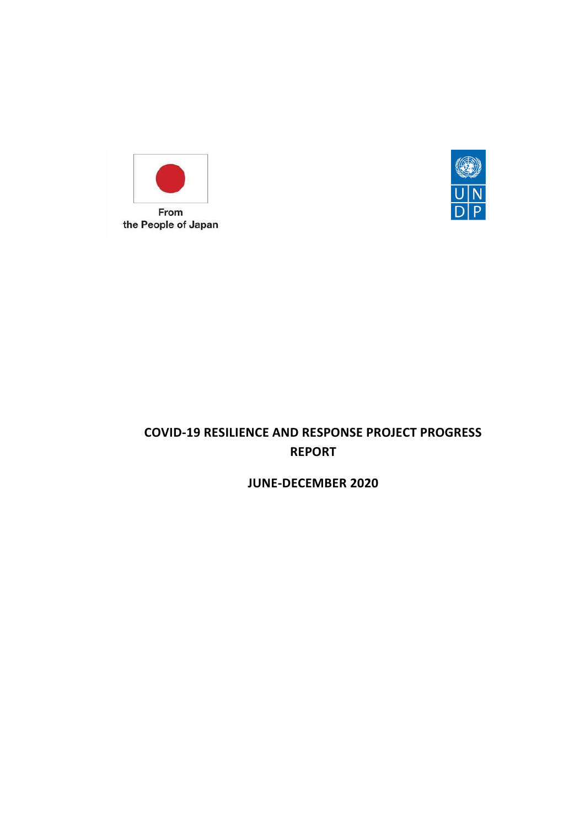



# **COVID-19 RESILIENCE AND RESPONSE PROJECT PROGRESS REPORT**

**JUNE-DECEMBER 2020**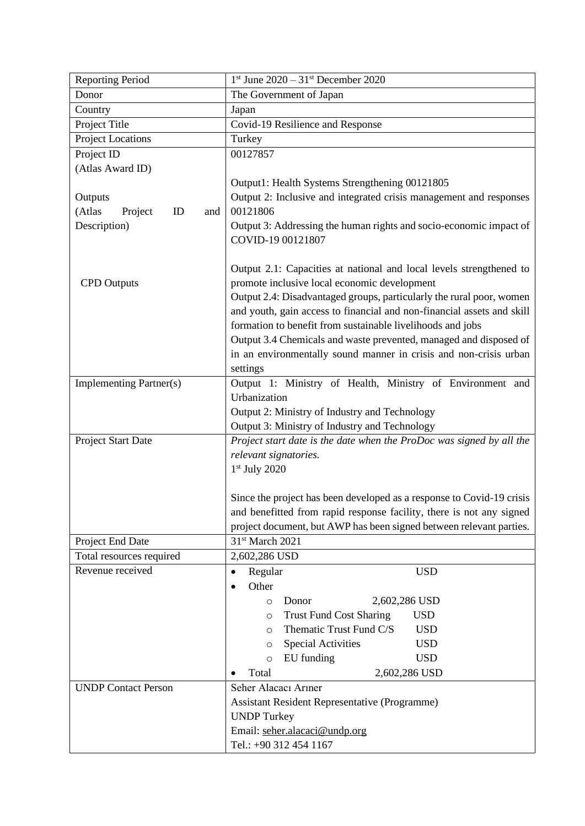| <b>Reporting Period</b>        | $1st$ June 2020 – 31 <sup>st</sup> December 2020                                               |  |  |  |
|--------------------------------|------------------------------------------------------------------------------------------------|--|--|--|
| Donor                          | The Government of Japan                                                                        |  |  |  |
| Country                        | Japan                                                                                          |  |  |  |
| Project Title                  | Covid-19 Resilience and Response                                                               |  |  |  |
| <b>Project Locations</b>       | Turkey                                                                                         |  |  |  |
| Project ID                     | 00127857                                                                                       |  |  |  |
| (Atlas Award ID)               |                                                                                                |  |  |  |
|                                | Output1: Health Systems Strengthening 00121805                                                 |  |  |  |
| Outputs                        | Output 2: Inclusive and integrated crisis management and responses                             |  |  |  |
| (Atlas<br>ID<br>Project<br>and | 00121806                                                                                       |  |  |  |
| Description)                   | Output 3: Addressing the human rights and socio-economic impact of                             |  |  |  |
|                                | COVID-19 00121807                                                                              |  |  |  |
|                                |                                                                                                |  |  |  |
|                                | Output 2.1: Capacities at national and local levels strengthened to                            |  |  |  |
| <b>CPD</b> Outputs             | promote inclusive local economic development                                                   |  |  |  |
|                                | Output 2.4: Disadvantaged groups, particularly the rural poor, women                           |  |  |  |
|                                | and youth, gain access to financial and non-financial assets and skill                         |  |  |  |
|                                | formation to benefit from sustainable livelihoods and jobs                                     |  |  |  |
|                                | Output 3.4 Chemicals and waste prevented, managed and disposed of                              |  |  |  |
|                                | in an environmentally sound manner in crisis and non-crisis urban                              |  |  |  |
|                                | settings                                                                                       |  |  |  |
| Implementing Partner(s)        | Output 1: Ministry of Health, Ministry of Environment and<br>Urbanization                      |  |  |  |
|                                |                                                                                                |  |  |  |
|                                | Output 2: Ministry of Industry and Technology<br>Output 3: Ministry of Industry and Technology |  |  |  |
| Project Start Date             | Project start date is the date when the ProDoc was signed by all the                           |  |  |  |
|                                | relevant signatories.                                                                          |  |  |  |
|                                | $1st$ July 2020                                                                                |  |  |  |
|                                |                                                                                                |  |  |  |
|                                | Since the project has been developed as a response to Covid-19 crisis                          |  |  |  |
|                                | and benefitted from rapid response facility, there is not any signed                           |  |  |  |
|                                | project document, but AWP has been signed between relevant parties.                            |  |  |  |
| Project End Date               | 31st March 2021                                                                                |  |  |  |
| Total resources required       | 2,602,286 USD                                                                                  |  |  |  |
| Revenue received               | <b>USD</b><br>Regular<br>$\bullet$                                                             |  |  |  |
|                                | Other                                                                                          |  |  |  |
|                                | Donor<br>2,602,286 USD<br>$\circ$                                                              |  |  |  |
|                                | <b>USD</b><br><b>Trust Fund Cost Sharing</b><br>$\circ$                                        |  |  |  |
|                                | Thematic Trust Fund C/S<br><b>USD</b><br>$\circ$                                               |  |  |  |
|                                | <b>Special Activities</b><br><b>USD</b><br>$\circ$                                             |  |  |  |
|                                | <b>USD</b><br>EU funding<br>$\circ$                                                            |  |  |  |
|                                | Total<br>2,602,286 USD                                                                         |  |  |  |
| <b>UNDP Contact Person</b>     | Seher Alacacı Arıner                                                                           |  |  |  |
|                                | Assistant Resident Representative (Programme)                                                  |  |  |  |
|                                | <b>UNDP</b> Turkey                                                                             |  |  |  |
|                                | Email: seher.alacaci@undp.org                                                                  |  |  |  |
|                                | Tel.: +90 312 454 1167                                                                         |  |  |  |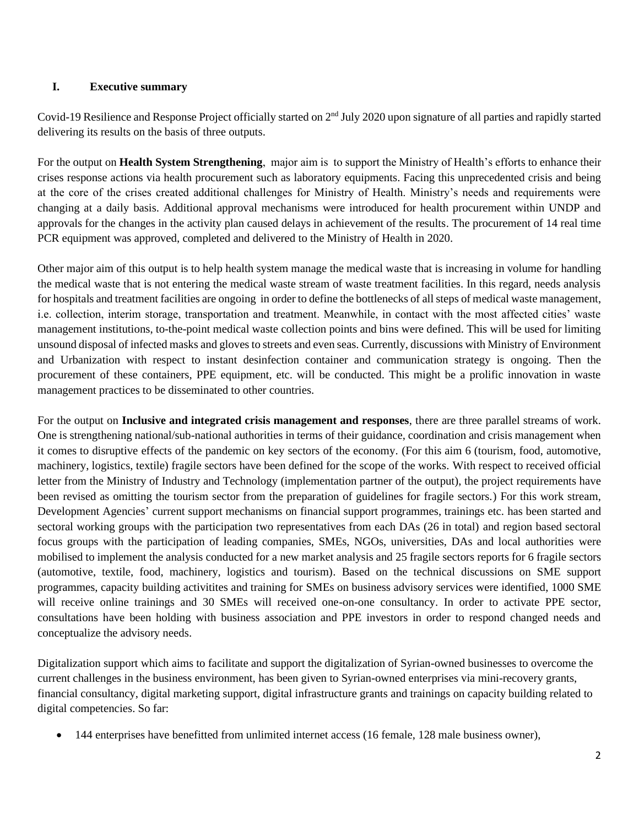# **I. Executive summary**

Covid-19 Resilience and Response Project officially started on 2nd July 2020 upon signature of all parties and rapidly started delivering its results on the basis of three outputs.

For the output on **Health System Strengthening**, major aim is to support the Ministry of Health's efforts to enhance their crises response actions via health procurement such as laboratory equipments. Facing this unprecedented crisis and being at the core of the crises created additional challenges for Ministry of Health. Ministry's needs and requirements were changing at a daily basis. Additional approval mechanisms were introduced for health procurement within UNDP and approvals for the changes in the activity plan caused delays in achievement of the results. The procurement of 14 real time PCR equipment was approved, completed and delivered to the Ministry of Health in 2020.

Other major aim of this output is to help health system manage the medical waste that is increasing in volume for handling the medical waste that is not entering the medical waste stream of waste treatment facilities. In this regard, needs analysis for hospitals and treatment facilities are ongoing in order to define the bottlenecks of all steps of medical waste management, i.e. collection, interim storage, transportation and treatment. Meanwhile, in contact with the most affected cities' waste management institutions, to-the-point medical waste collection points and bins were defined. This will be used for limiting unsound disposal of infected masks and gloves to streets and even seas. Currently, discussions with Ministry of Environment and Urbanization with respect to instant desinfection container and communication strategy is ongoing. Then the procurement of these containers, PPE equipment, etc. will be conducted. This might be a prolific innovation in waste management practices to be disseminated to other countries.

For the output on **Inclusive and integrated crisis management and responses**, there are three parallel streams of work. One is strengthening national/sub-national authorities in terms of their guidance, coordination and crisis management when it comes to disruptive effects of the pandemic on key sectors of the economy. (For this aim 6 (tourism, food, automotive, machinery, logistics, textile) fragile sectors have been defined for the scope of the works. With respect to received official letter from the Ministry of Industry and Technology (implementation partner of the output), the project requirements have been revised as omitting the tourism sector from the preparation of guidelines for fragile sectors.) For this work stream, Development Agencies' current support mechanisms on financial support programmes, trainings etc. has been started and sectoral working groups with the participation two representatives from each DAs (26 in total) and region based sectoral focus groups with the participation of leading companies, SMEs, NGOs, universities, DAs and local authorities were mobilised to implement the analysis conducted for a new market analysis and 25 fragile sectors reports for 6 fragile sectors (automotive, textile, food, machinery, logistics and tourism). Based on the technical discussions on SME support programmes, capacity building activitites and training for SMEs on business advisory services were identified, 1000 SME will receive online trainings and 30 SMEs will received one-on-one consultancy. In order to activate PPE sector, consultations have been holding with business association and PPE investors in order to respond changed needs and conceptualize the advisory needs.

Digitalization support which aims to facilitate and support the digitalization of Syrian-owned businesses to overcome the current challenges in the business environment, has been given to Syrian-owned enterprises via mini-recovery grants, financial consultancy, digital marketing support, digital infrastructure grants and trainings on capacity building related to digital competencies. So far:

• 144 enterprises have benefitted from unlimited internet access (16 female, 128 male business owner),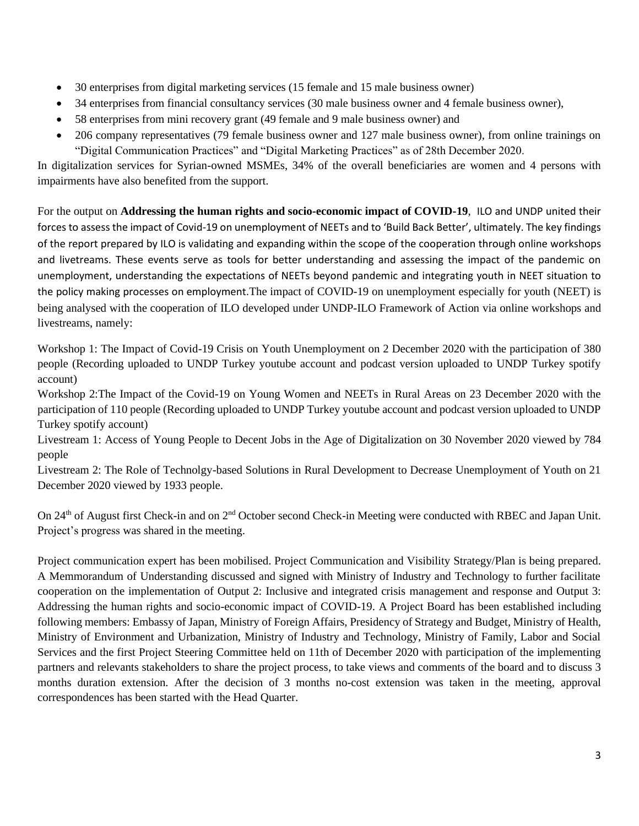- 30 enterprises from digital marketing services (15 female and 15 male business owner)
- 34 enterprises from financial consultancy services (30 male business owner and 4 female business owner),
- 58 enterprises from mini recovery grant (49 female and 9 male business owner) and
- 206 company representatives (79 female business owner and 127 male business owner), from online trainings on "Digital Communication Practices" and "Digital Marketing Practices" as of 28th December 2020.

In digitalization services for Syrian-owned MSMEs, 34% of the overall beneficiaries are women and 4 persons with impairments have also benefited from the support.

For the output on **Addressing the human rights and socio-economic impact of COVID-19**, ILO and UNDP united their forces to assess the impact of Covid-19 on unemployment of NEETs and to 'Build Back Better', ultimately. The key findings of the report prepared by ILO is validating and expanding within the scope of the cooperation through online workshops and livetreams. These events serve as tools for better understanding and assessing the impact of the pandemic on unemployment, understanding the expectations of NEETs beyond pandemic and integrating youth in NEET situation to the policy making processes on employment.The impact of COVID-19 on unemployment especially for youth (NEET) is being analysed with the cooperation of ILO developed under UNDP-ILO Framework of Action via online workshops and livestreams, namely:

Workshop 1: The Impact of Covid-19 Crisis on Youth Unemployment on 2 December 2020 with the participation of 380 people (Recording uploaded to UNDP Turkey youtube account and podcast version uploaded to UNDP Turkey spotify account)

Workshop 2:The Impact of the Covid-19 on Young Women and NEETs in Rural Areas on 23 December 2020 with the participation of 110 people (Recording uploaded to UNDP Turkey youtube account and podcast version uploaded to UNDP Turkey spotify account)

Livestream 1: Access of Young People to Decent Jobs in the Age of Digitalization on 30 November 2020 viewed by 784 people

Livestream 2: The Role of Technolgy-based Solutions in Rural Development to Decrease Unemployment of Youth on 21 December 2020 viewed by 1933 people.

On 24<sup>th</sup> of August first Check-in and on 2<sup>nd</sup> October second Check-in Meeting were conducted with RBEC and Japan Unit. Project's progress was shared in the meeting.

Project communication expert has been mobilised. Project Communication and Visibility Strategy/Plan is being prepared. A Memmorandum of Understanding discussed and signed with Ministry of Industry and Technology to further facilitate cooperation on the implementation of Output 2: Inclusive and integrated crisis management and response and Output 3: Addressing the human rights and socio-economic impact of COVID-19. A Project Board has been established including following members: Embassy of Japan, Ministry of Foreign Affairs, Presidency of Strategy and Budget, Ministry of Health, Ministry of Environment and Urbanization, Ministry of Industry and Technology, Ministry of Family, Labor and Social Services and the first Project Steering Committee held on 11th of December 2020 with participation of the implementing partners and relevants stakeholders to share the project process, to take views and comments of the board and to discuss 3 months duration extension. After the decision of 3 months no-cost extension was taken in the meeting, approval correspondences has been started with the Head Quarter.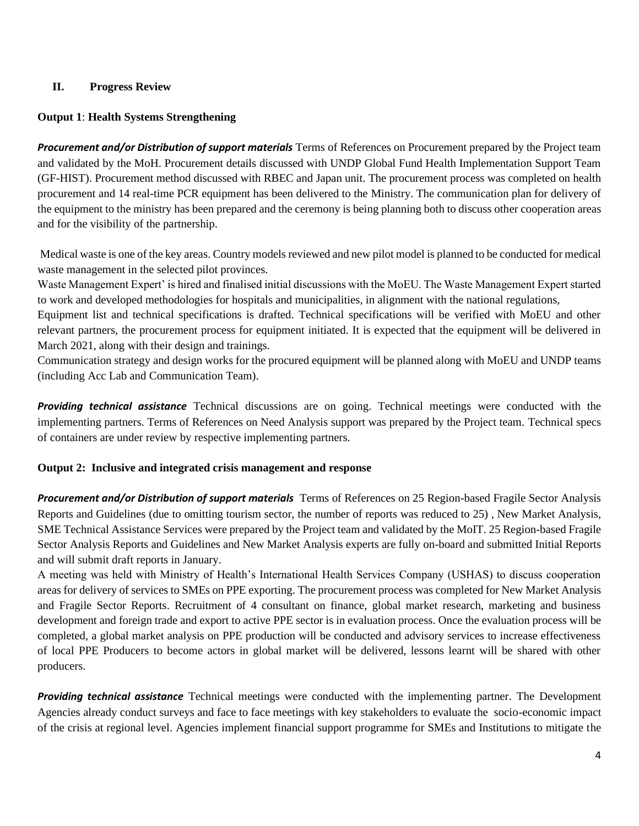# **II. Progress Review**

#### **Output 1**: **Health Systems Strengthening**

*Procurement and/or Distribution of support materials* Terms of References on Procurement prepared by the Project team and validated by the MoH. Procurement details discussed with UNDP Global Fund Health Implementation Support Team (GF-HIST). Procurement method discussed with RBEC and Japan unit. The procurement process was completed on health procurement and 14 real-time PCR equipment has been delivered to the Ministry. The communication plan for delivery of the equipment to the ministry has been prepared and the ceremony is being planning both to discuss other cooperation areas and for the visibility of the partnership.

Medical waste is one of the key areas. Country models reviewed and new pilot model is planned to be conducted for medical waste management in the selected pilot provinces.

Waste Management Expert' is hired and finalised initial discussions with the MoEU. The Waste Management Expert started to work and developed methodologies for hospitals and municipalities, in alignment with the national regulations,

Equipment list and technical specifications is drafted. Technical specifications will be verified with MoEU and other relevant partners, the procurement process for equipment initiated. It is expected that the equipment will be delivered in March 2021, along with their design and trainings.

Communication strategy and design works for the procured equipment will be planned along with MoEU and UNDP teams (including Acc Lab and Communication Team).

*Providing technical assistance* Technical discussions are on going. Technical meetings were conducted with the implementing partners. Terms of References on Need Analysis support was prepared by the Project team. Technical specs of containers are under review by respective implementing partners.

### **Output 2: Inclusive and integrated crisis management and response**

*Procurement and/or Distribution of support materials* Terms of References on 25 Region-based Fragile Sector Analysis Reports and Guidelines (due to omitting tourism sector, the number of reports was reduced to 25) , New Market Analysis, SME Technical Assistance Services were prepared by the Project team and validated by the MoIT. 25 Region-based Fragile Sector Analysis Reports and Guidelines and New Market Analysis experts are fully on-board and submitted Initial Reports and will submit draft reports in January.

A meeting was held with Ministry of Health's International Health Services Company (USHAS) to discuss cooperation areas for delivery of services to SMEs on PPE exporting. The procurement process was completed for New Market Analysis and Fragile Sector Reports. Recruitment of 4 consultant on finance, global market research, marketing and business development and foreign trade and export to active PPE sector is in evaluation process. Once the evaluation process will be completed, a global market analysis on PPE production will be conducted and advisory services to increase effectiveness of local PPE Producers to become actors in global market will be delivered, lessons learnt will be shared with other producers.

*Providing technical assistance* Technical meetings were conducted with the implementing partner. The Development Agencies already conduct surveys and face to face meetings with key stakeholders to evaluate the socio-economic impact of the crisis at regional level. Agencies implement financial support programme for SMEs and Institutions to mitigate the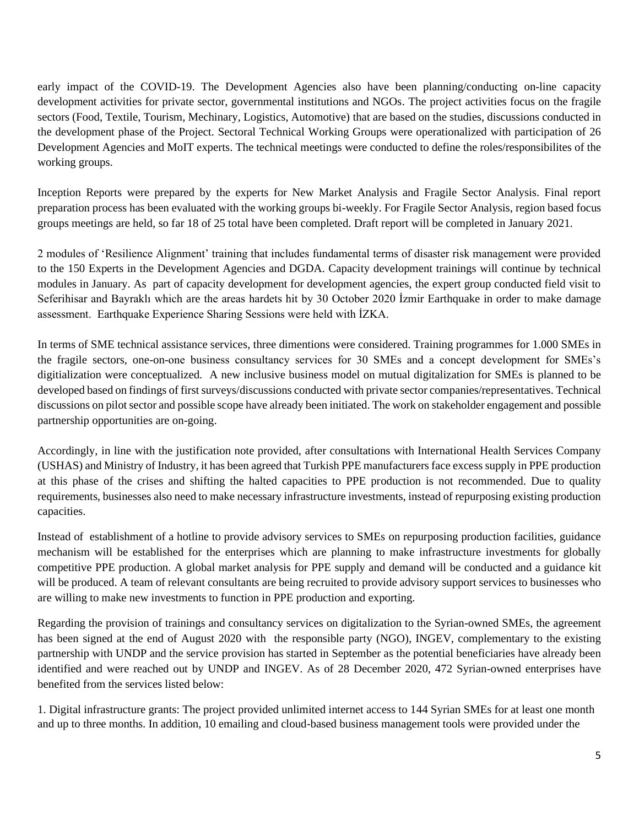early impact of the COVID-19. The Development Agencies also have been planning/conducting on-line capacity development activities for private sector, governmental institutions and NGOs. The project activities focus on the fragile sectors (Food, Textile, Tourism, Mechinary, Logistics, Automotive) that are based on the studies, discussions conducted in the development phase of the Project. Sectoral Technical Working Groups were operationalized with participation of 26 Development Agencies and MoIT experts. The technical meetings were conducted to define the roles/responsibilites of the working groups.

Inception Reports were prepared by the experts for New Market Analysis and Fragile Sector Analysis. Final report preparation process has been evaluated with the working groups bi-weekly. For Fragile Sector Analysis, region based focus groups meetings are held, so far 18 of 25 total have been completed. Draft report will be completed in January 2021.

2 modules of 'Resilience Alignment' training that includes fundamental terms of disaster risk management were provided to the 150 Experts in the Development Agencies and DGDA. Capacity development trainings will continue by technical modules in January. As part of capacity development for development agencies, the expert group conducted field visit to Seferihisar and Bayraklı which are the areas hardets hit by 30 October 2020 İzmir Earthquake in order to make damage assessment. Earthquake Experience Sharing Sessions were held with İZKA.

In terms of SME technical assistance services, three dimentions were considered. Training programmes for 1.000 SMEs in the fragile sectors, one-on-one business consultancy services for 30 SMEs and a concept development for SMEs's digitialization were conceptualized. A new inclusive business model on mutual digitalization for SMEs is planned to be developed based on findings of first surveys/discussions conducted with private sector companies/representatives. Technical discussions on pilot sector and possible scope have already been initiated. The work on stakeholder engagement and possible partnership opportunities are on-going.

Accordingly, in line with the justification note provided, after consultations with International Health Services Company (USHAS) and Ministry of Industry, it has been agreed that Turkish PPE manufacturers face excess supply in PPE production at this phase of the crises and shifting the halted capacities to PPE production is not recommended. Due to quality requirements, businesses also need to make necessary infrastructure investments, instead of repurposing existing production capacities.

Instead of establishment of a hotline to provide advisory services to SMEs on repurposing production facilities, guidance mechanism will be established for the enterprises which are planning to make infrastructure investments for globally competitive PPE production. A global market analysis for PPE supply and demand will be conducted and a guidance kit will be produced. A team of relevant consultants are being recruited to provide advisory support services to businesses who are willing to make new investments to function in PPE production and exporting.

Regarding the provision of trainings and consultancy services on digitalization to the Syrian-owned SMEs, the agreement has been signed at the end of August 2020 with the responsible party (NGO), INGEV, complementary to the existing partnership with UNDP and the service provision has started in September as the potential beneficiaries have already been identified and were reached out by UNDP and INGEV. As of 28 December 2020, 472 Syrian-owned enterprises have benefited from the services listed below:

1. Digital infrastructure grants: The project provided unlimited internet access to 144 Syrian SMEs for at least one month and up to three months. In addition, 10 emailing and cloud-based business management tools were provided under the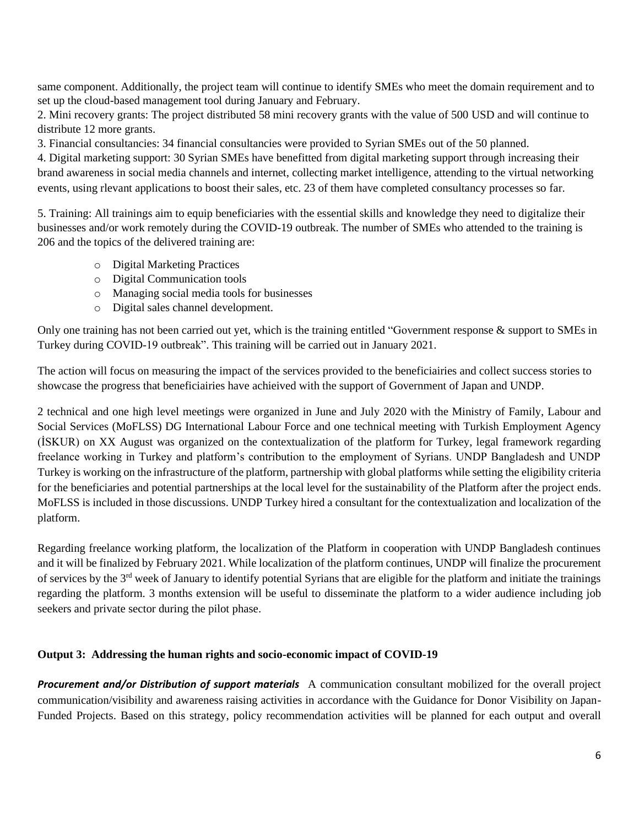same component. Additionally, the project team will continue to identify SMEs who meet the domain requirement and to set up the cloud-based management tool during January and February.

2. Mini recovery grants: The project distributed 58 mini recovery grants with the value of 500 USD and will continue to distribute 12 more grants.

3. Financial consultancies: 34 financial consultancies were provided to Syrian SMEs out of the 50 planned.

4. Digital marketing support: 30 Syrian SMEs have benefitted from digital marketing support through increasing their brand awareness in social media channels and internet, collecting market intelligence, attending to the virtual networking events, using rlevant applications to boost their sales, etc. 23 of them have completed consultancy processes so far.

5. Training: All trainings aim to equip beneficiaries with the essential skills and knowledge they need to digitalize their businesses and/or work remotely during the COVID-19 outbreak. The number of SMEs who attended to the training is 206 and the topics of the delivered training are:

- o Digital Marketing Practices
- o Digital Communication tools
- o Managing social media tools for businesses
- o Digital sales channel development.

Only one training has not been carried out yet, which is the training entitled "Government response & support to SMEs in Turkey during COVID-19 outbreak". This training will be carried out in January 2021.

The action will focus on measuring the impact of the services provided to the beneficiairies and collect success stories to showcase the progress that beneficiairies have achieived with the support of Government of Japan and UNDP.

2 technical and one high level meetings were organized in June and July 2020 with the Ministry of Family, Labour and Social Services (MoFLSS) DG International Labour Force and one technical meeting with Turkish Employment Agency (İSKUR) on XX August was organized on the contextualization of the platform for Turkey, legal framework regarding freelance working in Turkey and platform's contribution to the employment of Syrians. UNDP Bangladesh and UNDP Turkey is working on the infrastructure of the platform, partnership with global platforms while setting the eligibility criteria for the beneficiaries and potential partnerships at the local level for the sustainability of the Platform after the project ends. MoFLSS is included in those discussions. UNDP Turkey hired a consultant for the contextualization and localization of the platform.

Regarding freelance working platform, the localization of the Platform in cooperation with UNDP Bangladesh continues and it will be finalized by February 2021. While localization of the platform continues, UNDP will finalize the procurement of services by the 3rd week of January to identify potential Syrians that are eligible for the platform and initiate the trainings regarding the platform. 3 months extension will be useful to disseminate the platform to a wider audience including job seekers and private sector during the pilot phase.

#### **Output 3: Addressing the human rights and socio-economic impact of COVID-19**

*Procurement and/or Distribution of support materials* A communication consultant mobilized for the overall project communication/visibility and awareness raising activities in accordance with the Guidance for Donor Visibility on Japan-Funded Projects. Based on this strategy, policy recommendation activities will be planned for each output and overall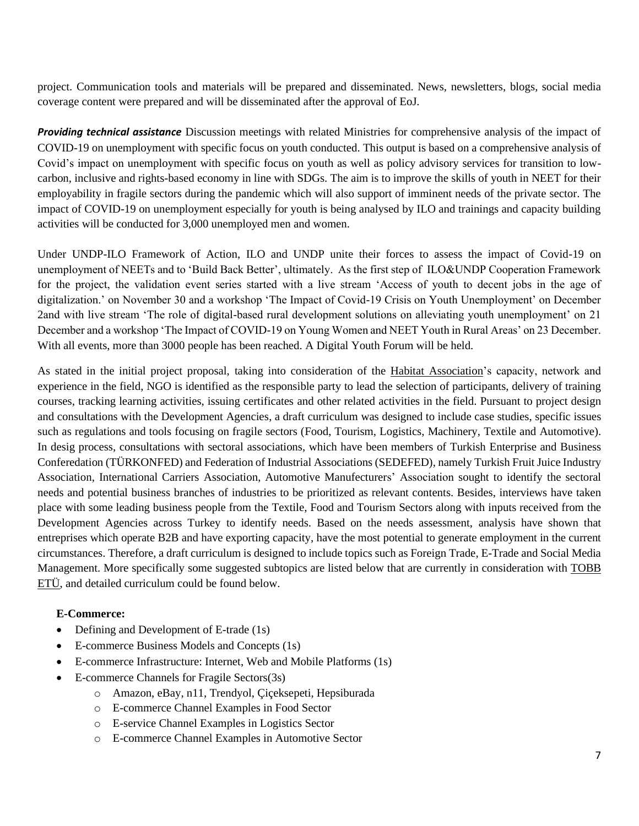project. Communication tools and materials will be prepared and disseminated. News, newsletters, blogs, social media coverage content were prepared and will be disseminated after the approval of EoJ.

*Providing technical assistance* Discussion meetings with related Ministries for comprehensive analysis of the impact of COVID-19 on unemployment with specific focus on youth conducted. This output is based on a comprehensive analysis of Covid's impact on unemployment with specific focus on youth as well as policy advisory services for transition to lowcarbon, inclusive and rights-based economy in line with SDGs. The aim is to improve the skills of youth in NEET for their employability in fragile sectors during the pandemic which will also support of imminent needs of the private sector. The impact of COVID-19 on unemployment especially for youth is being analysed by ILO and trainings and capacity building activities will be conducted for 3,000 unemployed men and women.

Under UNDP-ILO Framework of Action, ILO and UNDP unite their forces to assess the impact of Covid-19 on unemployment of NEETs and to 'Build Back Better', ultimately. As the first step of ILO&UNDP Cooperation Framework for the project, the validation event series started with a live stream 'Access of youth to decent jobs in the age of digitalization.' on November 30 and a workshop 'The Impact of Covid-19 Crisis on Youth Unemployment' on December 2and with live stream 'The role of digital-based rural development solutions on alleviating youth unemployment' on 21 December and a workshop 'The Impact of COVID-19 on Young Women and NEET Youth in Rural Areas' on 23 December. With all events, more than 3000 people has been reached. A Digital Youth Forum will be held.

As stated in the initial project proposal, taking into consideration of the [Habitat Association'](https://habitatdernegi.org/?lang=en)s capacity, network and experience in the field, NGO is identified as the responsible party to lead the selection of participants, delivery of training courses, tracking learning activities, issuing certificates and other related activities in the field. Pursuant to project design and consultations with the Development Agencies, a draft curriculum was designed to include case studies, specific issues such as regulations and tools focusing on fragile sectors (Food, Tourism, Logistics, Machinery, Textile and Automotive). In desig process, consultations with sectoral associations, which have been members of Turkish Enterprise and Business Conferedation (TÜRKONFED) and Federation of Industrial Associations (SEDEFED), namely Turkish Fruit Juice Industry Association, International Carriers Association, Automotive Manufecturers' Association sought to identify the sectoral needs and potential business branches of industries to be prioritized as relevant contents. Besides, interviews have taken place with some leading business people from the Textile, Food and Tourism Sectors along with inputs received from the Development Agencies across Turkey to identify needs. Based on the needs assessment, analysis have shown that entreprises which operate B2B and have exporting capacity, have the most potential to generate employment in the current circumstances. Therefore, a draft curriculum is designed to include topics such as Foreign Trade, E-Trade and Social Media Management. More specifically some suggested subtopics are listed below that are currently in consideration with [TOBB](https://www.etu.edu.tr/en)  [ETÜ,](https://www.etu.edu.tr/en) and detailed curriculum could be found below.

### **E-Commerce:**

- Defining and Development of E-trade (1s)
- E-commerce Business Models and Concepts (1s)
- E-commerce Infrastructure: Internet, Web and Mobile Platforms (1s)
- E-commerce Channels for Fragile Sectors(3s)
	- o Amazon, eBay, n11, Trendyol, Çiçeksepeti, Hepsiburada
	- o E-commerce Channel Examples in Food Sector
	- o E-service Channel Examples in Logistics Sector
	- o E-commerce Channel Examples in Automotive Sector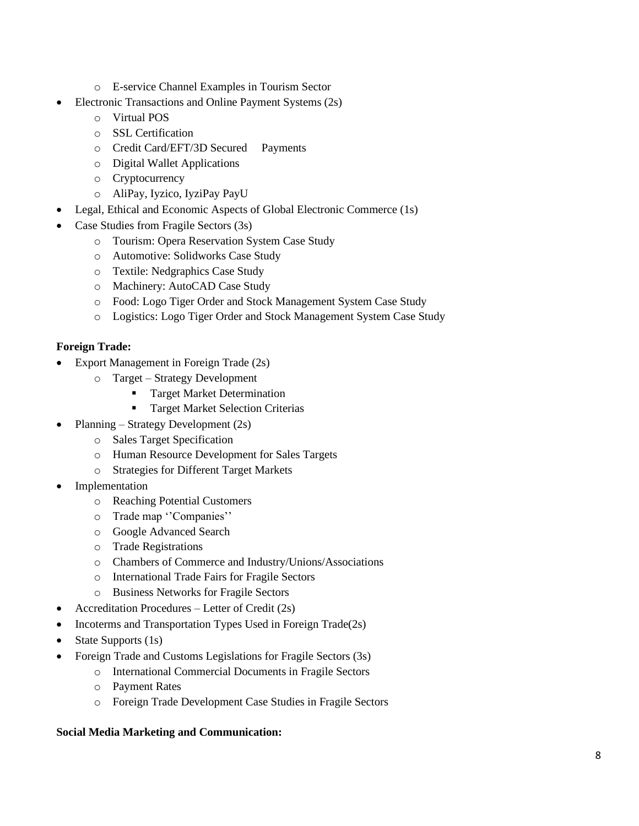- o E-service Channel Examples in Tourism Sector
- Electronic Transactions and Online Payment Systems (2s)
	- o Virtual POS
	- o SSL Certification
	- o Credit Card/EFT/3D Secured Payments
	- o Digital Wallet Applications
	- o Cryptocurrency
	- o AliPay, Iyzico, IyziPay PayU
- Legal, Ethical and Economic Aspects of Global Electronic Commerce (1s)
- Case Studies from Fragile Sectors (3s)
	- o Tourism: Opera Reservation System Case Study
	- o Automotive: Solidworks Case Study
	- o Textile: Nedgraphics Case Study
	- o Machinery: AutoCAD Case Study
	- o Food: Logo Tiger Order and Stock Management System Case Study
	- o Logistics: Logo Tiger Order and Stock Management System Case Study

### **Foreign Trade:**

- Export Management in Foreign Trade (2s)
	- o Target Strategy Development
		- Target Market Determination
		- **Target Market Selection Criterias**
- Planning Strategy Development (2s)
	- o Sales Target Specification
	- o Human Resource Development for Sales Targets
	- o Strategies for Different Target Markets
- **Implementation** 
	- o Reaching Potential Customers
	- o Trade map ''Companies''
	- o Google Advanced Search
	- o Trade Registrations
	- o Chambers of Commerce and Industry/Unions/Associations
	- o International Trade Fairs for Fragile Sectors
	- o Business Networks for Fragile Sectors
- Accreditation Procedures Letter of Credit (2s)
- Incoterms and Transportation Types Used in Foreign Trade(2s)
- State Supports (1s)
- Foreign Trade and Customs Legislations for Fragile Sectors (3s)
	- o International Commercial Documents in Fragile Sectors
	- o Payment Rates
	- o Foreign Trade Development Case Studies in Fragile Sectors

### **Social Media Marketing and Communication:**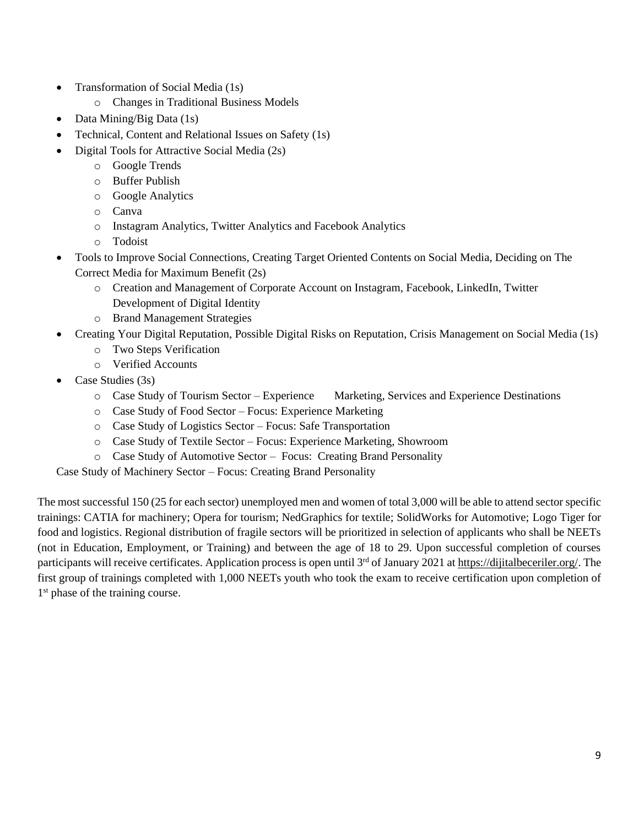- Transformation of Social Media (1s)
	- o Changes in Traditional Business Models
- Data Mining/Big Data (1s)
	- Technical, Content and Relational Issues on Safety (1s)
- Digital Tools for Attractive Social Media (2s)
	- o Google Trends
	- o Buffer Publish
	- o Google Analytics
	- o Canva
	- o Instagram Analytics, Twitter Analytics and Facebook Analytics
	- o Todoist
- Tools to Improve Social Connections, Creating Target Oriented Contents on Social Media, Deciding on The Correct Media for Maximum Benefit (2s)
	- o Creation and Management of Corporate Account on Instagram, Facebook, LinkedIn, Twitter Development of Digital Identity
	- o Brand Management Strategies
- Creating Your Digital Reputation, Possible Digital Risks on Reputation, Crisis Management on Social Media (1s)
	- o Two Steps Verification
	- o Verified Accounts
- Case Studies (3s)
	- o Case Study of Tourism Sector Experience Marketing, Services and Experience Destinations
	- o Case Study of Food Sector Focus: Experience Marketing
	- o Case Study of Logistics Sector Focus: Safe Transportation
	- o Case Study of Textile Sector Focus: Experience Marketing, Showroom
	- o Case Study of Automotive Sector Focus: Creating Brand Personality

Case Study of Machinery Sector – Focus: Creating Brand Personality

The most successful 150 (25 for each sector) unemployed men and women of total 3,000 will be able to attend sector specific trainings: CATIA for machinery; Opera for tourism; NedGraphics for textile; SolidWorks for Automotive; Logo Tiger for food and logistics. Regional distribution of fragile sectors will be prioritized in selection of applicants who shall be NEETs (not in Education, Employment, or Training) and between the age of 18 to 29. Upon successful completion of courses participants will receive certificates. Application process is open until 3<sup>rd</sup> of January 2021 a[t https://dijitalbeceriler.org/.](https://dijitalbeceriler.org/) The first group of trainings completed with 1,000 NEETs youth who took the exam to receive certification upon completion of 1<sup>st</sup> phase of the training course.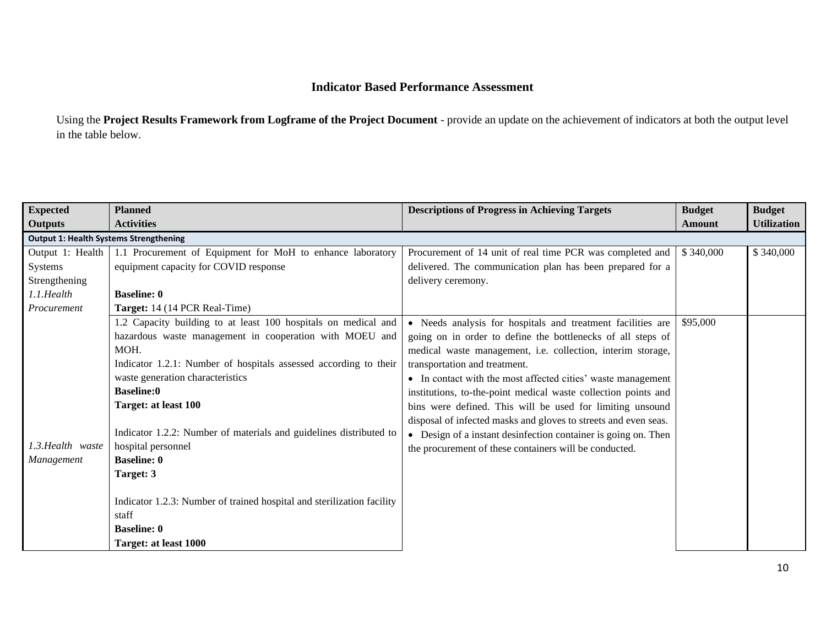# **Indicator Based Performance Assessment**

Using the **Project Results Framework from Logframe of the Project Document** - provide an update on the achievement of indicators at both the output level in the table below.

| <b>Expected</b>                               | <b>Planned</b>                                                         | <b>Descriptions of Progress in Achieving Targets</b>            | <b>Budget</b> | <b>Budget</b>      |
|-----------------------------------------------|------------------------------------------------------------------------|-----------------------------------------------------------------|---------------|--------------------|
| <b>Outputs</b>                                | <b>Activities</b>                                                      |                                                                 | <b>Amount</b> | <b>Utilization</b> |
| <b>Output 1: Health Systems Strengthening</b> |                                                                        |                                                                 |               |                    |
| Output 1: Health                              | 1.1 Procurement of Equipment for MoH to enhance laboratory             | Procurement of 14 unit of real time PCR was completed and       | \$340,000     | \$340,000          |
| Systems                                       | equipment capacity for COVID response                                  | delivered. The communication plan has been prepared for a       |               |                    |
| Strengthening                                 |                                                                        | delivery ceremony.                                              |               |                    |
| 1.1.Health                                    | <b>Baseline: 0</b>                                                     |                                                                 |               |                    |
| Procurement                                   | Target: 14 (14 PCR Real-Time)                                          |                                                                 |               |                    |
|                                               | 1.2 Capacity building to at least 100 hospitals on medical and         | • Needs analysis for hospitals and treatment facilities are     | \$95,000      |                    |
|                                               | hazardous waste management in cooperation with MOEU and                | going on in order to define the bottlenecks of all steps of     |               |                    |
|                                               | MOH.                                                                   | medical waste management, i.e. collection, interim storage,     |               |                    |
|                                               | Indicator 1.2.1: Number of hospitals assessed according to their       | transportation and treatment.                                   |               |                    |
|                                               | waste generation characteristics                                       | • In contact with the most affected cities' waste management    |               |                    |
|                                               | <b>Baseline:0</b>                                                      | institutions, to-the-point medical waste collection points and  |               |                    |
|                                               | Target: at least 100                                                   | bins were defined. This will be used for limiting unsound       |               |                    |
|                                               |                                                                        | disposal of infected masks and gloves to streets and even seas. |               |                    |
|                                               | Indicator 1.2.2: Number of materials and guidelines distributed to     | • Design of a instant desinfection container is going on. Then  |               |                    |
| 1.3. Health waste                             | hospital personnel                                                     | the procurement of these containers will be conducted.          |               |                    |
| Management                                    | <b>Baseline: 0</b>                                                     |                                                                 |               |                    |
|                                               | Target: 3                                                              |                                                                 |               |                    |
|                                               |                                                                        |                                                                 |               |                    |
|                                               | Indicator 1.2.3: Number of trained hospital and sterilization facility |                                                                 |               |                    |
|                                               | staff                                                                  |                                                                 |               |                    |
|                                               | <b>Baseline: 0</b>                                                     |                                                                 |               |                    |
|                                               | Target: at least 1000                                                  |                                                                 |               |                    |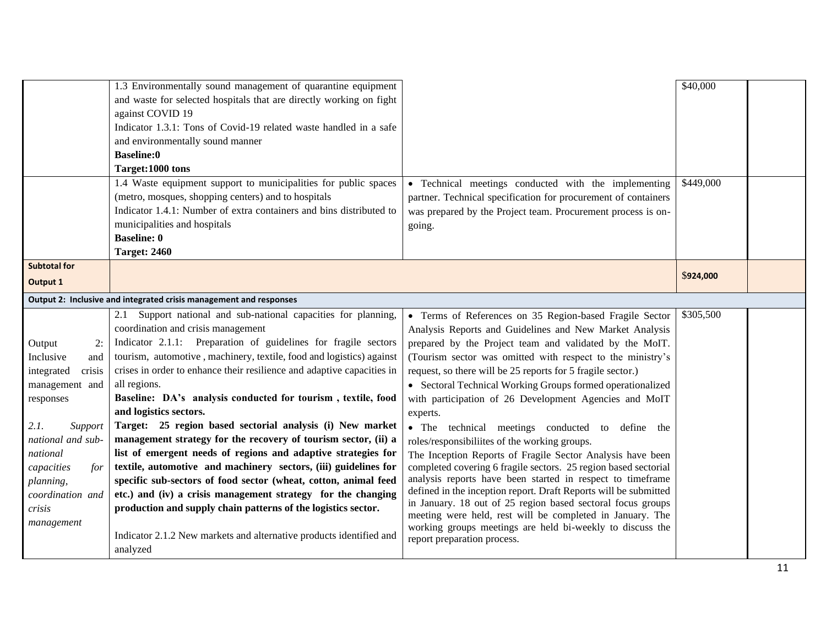|                      | 1.3 Environmentally sound management of quarantine equipment           |                                                                                                                          | \$40,000  |    |
|----------------------|------------------------------------------------------------------------|--------------------------------------------------------------------------------------------------------------------------|-----------|----|
|                      | and waste for selected hospitals that are directly working on fight    |                                                                                                                          |           |    |
|                      | against COVID 19                                                       |                                                                                                                          |           |    |
|                      | Indicator 1.3.1: Tons of Covid-19 related waste handled in a safe      |                                                                                                                          |           |    |
|                      | and environmentally sound manner                                       |                                                                                                                          |           |    |
|                      | <b>Baseline:0</b>                                                      |                                                                                                                          |           |    |
|                      | Target:1000 tons                                                       |                                                                                                                          |           |    |
|                      | 1.4 Waste equipment support to municipalities for public spaces        | • Technical meetings conducted with the implementing                                                                     | \$449,000 |    |
|                      | (metro, mosques, shopping centers) and to hospitals                    | partner. Technical specification for procurement of containers                                                           |           |    |
|                      | Indicator 1.4.1: Number of extra containers and bins distributed to    | was prepared by the Project team. Procurement process is on-                                                             |           |    |
|                      | municipalities and hospitals                                           | going.                                                                                                                   |           |    |
|                      | <b>Baseline: 0</b>                                                     |                                                                                                                          |           |    |
|                      | <b>Target: 2460</b>                                                    |                                                                                                                          |           |    |
| <b>Subtotal for</b>  |                                                                        |                                                                                                                          |           |    |
| <b>Output 1</b>      |                                                                        |                                                                                                                          | \$924,000 |    |
|                      | Output 2: Inclusive and integrated crisis management and responses     |                                                                                                                          |           |    |
|                      | 2.1 Support national and sub-national capacities for planning,         | • Terms of References on 35 Region-based Fragile Sector                                                                  | \$305,500 |    |
|                      | coordination and crisis management                                     | Analysis Reports and Guidelines and New Market Analysis                                                                  |           |    |
| 2:<br>Output         | Indicator 2.1.1: Preparation of guidelines for fragile sectors         | prepared by the Project team and validated by the MoIT.                                                                  |           |    |
| Inclusive<br>and     | tourism, automotive, machinery, textile, food and logistics) against   | (Tourism sector was omitted with respect to the ministry's                                                               |           |    |
| integrated<br>crisis | crises in order to enhance their resilience and adaptive capacities in | request, so there will be 25 reports for 5 fragile sector.)                                                              |           |    |
| management and       | all regions.                                                           | • Sectoral Technical Working Groups formed operationalized                                                               |           |    |
| responses            | Baseline: DA's analysis conducted for tourism, textile, food           | with participation of 26 Development Agencies and MoIT                                                                   |           |    |
|                      | and logistics sectors.                                                 | experts.                                                                                                                 |           |    |
| 2.1.<br>Support      | Target: 25 region based sectorial analysis (i) New market              | • The technical meetings conducted to define the                                                                         |           |    |
| national and sub-    | management strategy for the recovery of tourism sector, (ii) a         | roles/responsibiliites of the working groups.                                                                            |           |    |
| national             | list of emergent needs of regions and adaptive strategies for          | The Inception Reports of Fragile Sector Analysis have been                                                               |           |    |
| capacities<br>for    | textile, automotive and machinery sectors, (iii) guidelines for        | completed covering 6 fragile sectors. 25 region based sectorial                                                          |           |    |
| planning,            | specific sub-sectors of food sector (wheat, cotton, animal feed        | analysis reports have been started in respect to timeframe                                                               |           |    |
| coordination and     | etc.) and (iv) a crisis management strategy for the changing           | defined in the inception report. Draft Reports will be submitted                                                         |           |    |
| crisis               | production and supply chain patterns of the logistics sector.          | in January. 18 out of 25 region based sectoral focus groups<br>meeting were held, rest will be completed in January. The |           |    |
| management           |                                                                        | working groups meetings are held bi-weekly to discuss the                                                                |           |    |
|                      | Indicator 2.1.2 New markets and alternative products identified and    | report preparation process.                                                                                              |           |    |
|                      | analyzed                                                               |                                                                                                                          |           |    |
|                      |                                                                        |                                                                                                                          |           | 11 |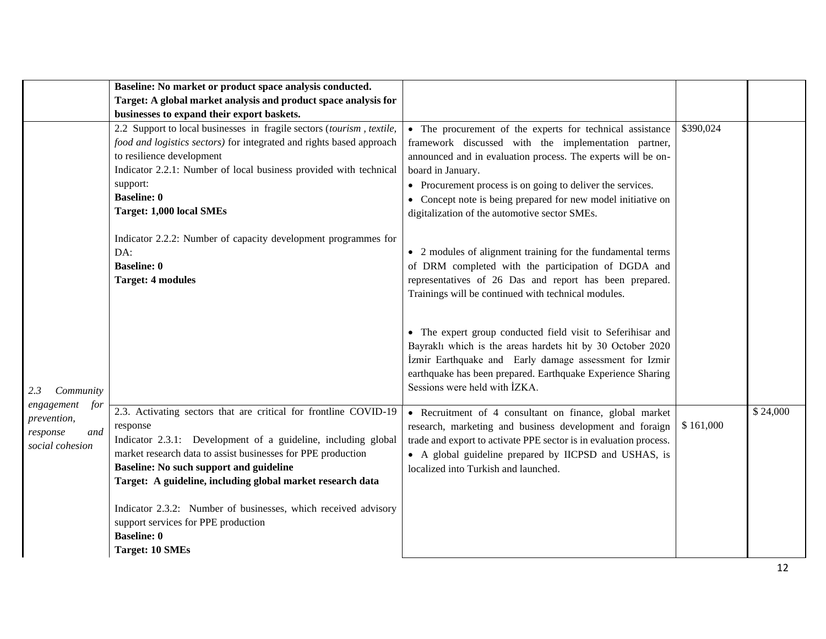|                                                                                         | Baseline: No market or product space analysis conducted.                                                                                                                                                                                                                                                                      |                                                                                                                                                                                                                                                                                                                                                                                       |           |          |
|-----------------------------------------------------------------------------------------|-------------------------------------------------------------------------------------------------------------------------------------------------------------------------------------------------------------------------------------------------------------------------------------------------------------------------------|---------------------------------------------------------------------------------------------------------------------------------------------------------------------------------------------------------------------------------------------------------------------------------------------------------------------------------------------------------------------------------------|-----------|----------|
|                                                                                         | Target: A global market analysis and product space analysis for                                                                                                                                                                                                                                                               |                                                                                                                                                                                                                                                                                                                                                                                       |           |          |
|                                                                                         | businesses to expand their export baskets.                                                                                                                                                                                                                                                                                    |                                                                                                                                                                                                                                                                                                                                                                                       |           |          |
|                                                                                         | 2.2 Support to local businesses in fragile sectors (tourism, textile,<br>food and logistics sectors) for integrated and rights based approach<br>to resilience development<br>Indicator 2.2.1: Number of local business provided with technical<br>support:<br><b>Baseline: 0</b><br>Target: 1,000 local SMEs                 | • The procurement of the experts for technical assistance<br>framework discussed with the implementation partner,<br>announced and in evaluation process. The experts will be on-<br>board in January.<br>• Procurement process is on going to deliver the services.<br>• Concept note is being prepared for new model initiative on<br>digitalization of the automotive sector SMEs. | \$390,024 |          |
|                                                                                         | Indicator 2.2.2: Number of capacity development programmes for<br>DA:<br><b>Baseline: 0</b><br><b>Target: 4 modules</b>                                                                                                                                                                                                       | • 2 modules of alignment training for the fundamental terms<br>of DRM completed with the participation of DGDA and<br>representatives of 26 Das and report has been prepared.<br>Trainings will be continued with technical modules.                                                                                                                                                  |           |          |
| Community<br>2.3<br>engagement for<br>prevention,<br>response<br>and<br>social cohesion |                                                                                                                                                                                                                                                                                                                               | • The expert group conducted field visit to Seferihisar and<br>Bayraklı which is the areas hardets hit by 30 October 2020<br>İzmir Earthquake and Early damage assessment for Izmir<br>earthquake has been prepared. Earthquake Experience Sharing<br>Sessions were held with İZKA.                                                                                                   |           |          |
|                                                                                         | 2.3. Activating sectors that are critical for frontline COVID-19<br>response<br>Indicator 2.3.1: Development of a guideline, including global<br>market research data to assist businesses for PPE production<br><b>Baseline: No such support and guideline</b><br>Target: A guideline, including global market research data | • Recruitment of 4 consultant on finance, global market<br>research, marketing and business development and foraign<br>trade and export to activate PPE sector is in evaluation process.<br>• A global guideline prepared by IICPSD and USHAS, is<br>localized into Turkish and launched.                                                                                             | \$161,000 | \$24,000 |
|                                                                                         | Indicator 2.3.2: Number of businesses, which received advisory<br>support services for PPE production<br><b>Baseline: 0</b><br><b>Target: 10 SMEs</b>                                                                                                                                                                         |                                                                                                                                                                                                                                                                                                                                                                                       |           |          |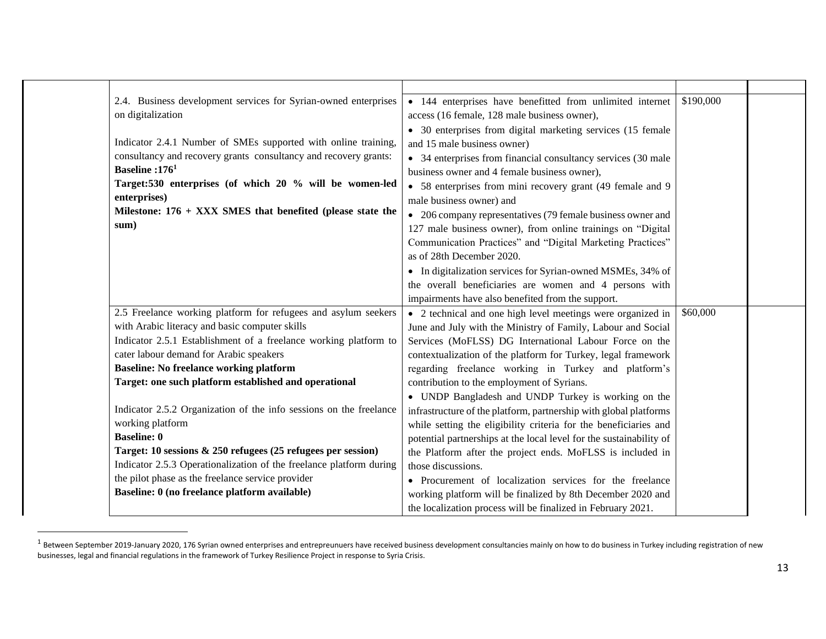| 2.4. Business development services for Syrian-owned enterprises                                                                     | • 144 enterprises have benefitted from unlimited internet           | \$190,000 |  |
|-------------------------------------------------------------------------------------------------------------------------------------|---------------------------------------------------------------------|-----------|--|
| on digitalization                                                                                                                   | access (16 female, 128 male business owner),                        |           |  |
|                                                                                                                                     | • 30 enterprises from digital marketing services (15 female         |           |  |
| Indicator 2.4.1 Number of SMEs supported with online training,                                                                      | and 15 male business owner)                                         |           |  |
| consultancy and recovery grants consultancy and recovery grants:                                                                    | • 34 enterprises from financial consultancy services (30 male       |           |  |
| Baseline : $1761$                                                                                                                   | business owner and 4 female business owner),                        |           |  |
| Target:530 enterprises (of which 20 % will be women-led                                                                             | • 58 enterprises from mini recovery grant (49 female and 9          |           |  |
| enterprises)                                                                                                                        | male business owner) and                                            |           |  |
| Milestone: $176 + XXX$ SMES that benefited (please state the                                                                        | • 206 company representatives (79 female business owner and         |           |  |
| sum)                                                                                                                                | 127 male business owner), from online trainings on "Digital         |           |  |
|                                                                                                                                     | Communication Practices" and "Digital Marketing Practices"          |           |  |
|                                                                                                                                     | as of 28th December 2020.                                           |           |  |
|                                                                                                                                     | • In digitalization services for Syrian-owned MSMEs, 34% of         |           |  |
|                                                                                                                                     | the overall beneficiaries are women and 4 persons with              |           |  |
|                                                                                                                                     | impairments have also benefited from the support.                   |           |  |
| 2.5 Freelance working platform for refugees and asylum seekers                                                                      | • 2 technical and one high level meetings were organized in         | \$60,000  |  |
| with Arabic literacy and basic computer skills                                                                                      | June and July with the Ministry of Family, Labour and Social        |           |  |
| Indicator 2.5.1 Establishment of a freelance working platform to                                                                    | Services (MoFLSS) DG International Labour Force on the              |           |  |
| cater labour demand for Arabic speakers                                                                                             | contextualization of the platform for Turkey, legal framework       |           |  |
| <b>Baseline: No freelance working platform</b>                                                                                      | regarding freelance working in Turkey and platform's                |           |  |
| Target: one such platform established and operational                                                                               | contribution to the employment of Syrians.                          |           |  |
|                                                                                                                                     | • UNDP Bangladesh and UNDP Turkey is working on the                 |           |  |
| Indicator 2.5.2 Organization of the info sessions on the freelance                                                                  | infrastructure of the platform, partnership with global platforms   |           |  |
| working platform                                                                                                                    | while setting the eligibility criteria for the beneficiaries and    |           |  |
| <b>Baseline: 0</b>                                                                                                                  | potential partnerships at the local level for the sustainability of |           |  |
| Target: 10 sessions & 250 refugees (25 refugees per session)<br>Indicator 2.5.3 Operationalization of the freelance platform during | the Platform after the project ends. MoFLSS is included in          |           |  |
| the pilot phase as the freelance service provider                                                                                   | those discussions.                                                  |           |  |
| Baseline: 0 (no freelance platform available)                                                                                       | • Procurement of localization services for the freelance            |           |  |
|                                                                                                                                     | working platform will be finalized by 8th December 2020 and         |           |  |
|                                                                                                                                     | the localization process will be finalized in February 2021.        |           |  |

<sup>&</sup>lt;sup>1</sup> Between September 2019-January 2020, 176 Syrian owned enterprises and entrepreunuers have received business development consultancies mainly on how to do business in Turkey including registration of new businesses, legal and financial regulations in the framework of Turkey Resilience Project in response to Syria Crisis.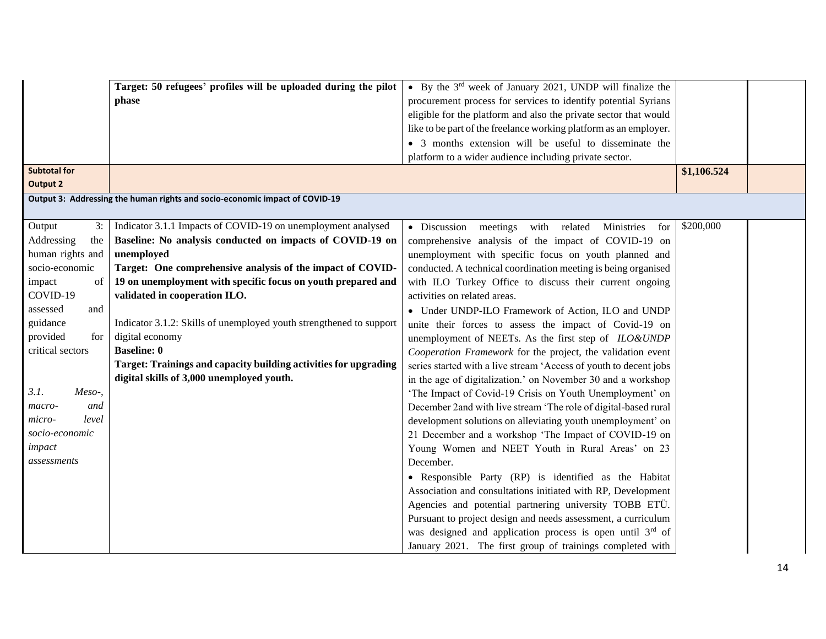|                                                                             | Target: 50 refugees' profiles will be uploaded during the pilot     | • By the $3rd$ week of January 2021, UNDP will finalize the       |             |  |
|-----------------------------------------------------------------------------|---------------------------------------------------------------------|-------------------------------------------------------------------|-------------|--|
| phase                                                                       |                                                                     | procurement process for services to identify potential Syrians    |             |  |
|                                                                             |                                                                     | eligible for the platform and also the private sector that would  |             |  |
|                                                                             |                                                                     | like to be part of the freelance working platform as an employer. |             |  |
|                                                                             |                                                                     | • 3 months extension will be useful to disseminate the            |             |  |
|                                                                             |                                                                     | platform to a wider audience including private sector.            |             |  |
| <b>Subtotal for</b>                                                         |                                                                     |                                                                   | \$1,106.524 |  |
| <b>Output 2</b>                                                             |                                                                     |                                                                   |             |  |
| Output 3: Addressing the human rights and socio-economic impact of COVID-19 |                                                                     |                                                                   |             |  |
|                                                                             |                                                                     |                                                                   |             |  |
| Output<br>3:                                                                | Indicator 3.1.1 Impacts of COVID-19 on unemployment analysed        | related<br>• Discussion<br>meetings<br>with<br>Ministries<br>for  | \$200,000   |  |
| Addressing<br>the                                                           | Baseline: No analysis conducted on impacts of COVID-19 on           | comprehensive analysis of the impact of COVID-19 on               |             |  |
| unemployed<br>human rights and                                              |                                                                     | unemployment with specific focus on youth planned and             |             |  |
| socio-economic                                                              | Target: One comprehensive analysis of the impact of COVID-          | conducted. A technical coordination meeting is being organised    |             |  |
| impact<br>of                                                                | 19 on unemployment with specific focus on youth prepared and        | with ILO Turkey Office to discuss their current ongoing           |             |  |
| COVID-19<br>validated in cooperation ILO.                                   |                                                                     | activities on related areas.                                      |             |  |
| assessed<br>and                                                             |                                                                     | • Under UNDP-ILO Framework of Action, ILO and UNDP                |             |  |
| guidance                                                                    | Indicator 3.1.2: Skills of unemployed youth strengthened to support | unite their forces to assess the impact of Covid-19 on            |             |  |
| provided<br>digital economy<br>for                                          |                                                                     | unemployment of NEETs. As the first step of ILO&UNDP              |             |  |
| <b>Baseline: 0</b><br>critical sectors                                      |                                                                     | Cooperation Framework for the project, the validation event       |             |  |
|                                                                             | Target: Trainings and capacity building activities for upgrading    | series started with a live stream 'Access of youth to decent jobs |             |  |
| digital skills of 3,000 unemployed youth.                                   |                                                                     | in the age of digitalization.' on November 30 and a workshop      |             |  |
| 3.1.<br>Meso-,                                                              |                                                                     | 'The Impact of Covid-19 Crisis on Youth Unemployment' on          |             |  |
| and<br>macro-                                                               |                                                                     | December 2and with live stream 'The role of digital-based rural   |             |  |
| level<br>micro-                                                             |                                                                     | development solutions on alleviating youth unemployment' on       |             |  |
| socio-economic                                                              |                                                                     | 21 December and a workshop 'The Impact of COVID-19 on             |             |  |
| impact                                                                      |                                                                     | Young Women and NEET Youth in Rural Areas' on 23                  |             |  |
| assessments                                                                 |                                                                     | December.                                                         |             |  |
|                                                                             |                                                                     | • Responsible Party (RP) is identified as the Habitat             |             |  |
|                                                                             |                                                                     | Association and consultations initiated with RP, Development      |             |  |
|                                                                             |                                                                     | Agencies and potential partnering university TOBB ETÜ.            |             |  |
|                                                                             |                                                                     | Pursuant to project design and needs assessment, a curriculum     |             |  |
|                                                                             |                                                                     | was designed and application process is open until 3rd of         |             |  |
|                                                                             |                                                                     | January 2021. The first group of trainings completed with         |             |  |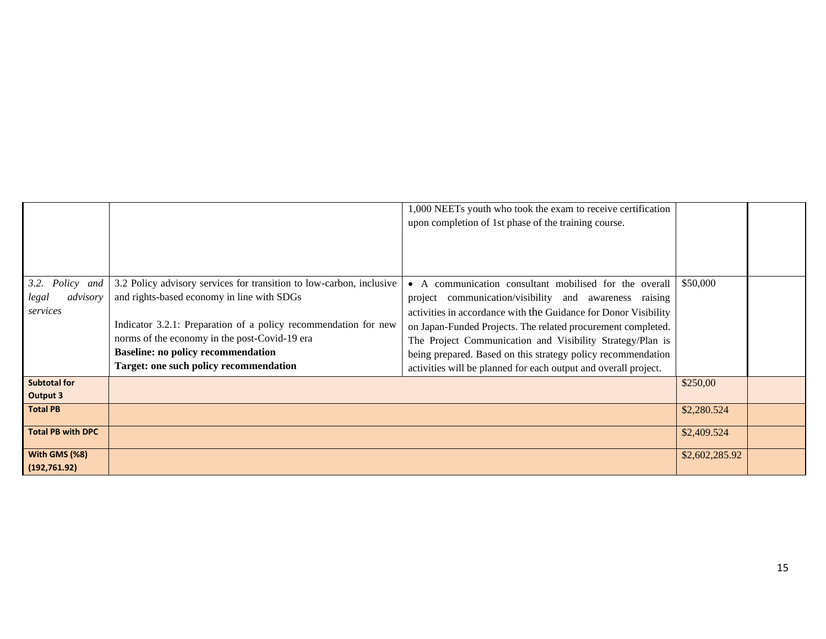|                          |                                                                      | 1,000 NEETs youth who took the exam to receive certification    |                |  |
|--------------------------|----------------------------------------------------------------------|-----------------------------------------------------------------|----------------|--|
|                          |                                                                      | upon completion of 1st phase of the training course.            |                |  |
|                          |                                                                      |                                                                 |                |  |
|                          |                                                                      |                                                                 |                |  |
|                          |                                                                      |                                                                 |                |  |
|                          |                                                                      |                                                                 |                |  |
| 3.2.<br>Policy and       | 3.2 Policy advisory services for transition to low-carbon, inclusive | • A communication consultant mobilised for the overall          | \$50,000       |  |
| advisory<br>legal        | and rights-based economy in line with SDGs                           | project communication/visibility and awareness raising          |                |  |
| services                 |                                                                      | activities in accordance with the Guidance for Donor Visibility |                |  |
|                          | Indicator 3.2.1: Preparation of a policy recommendation for new      | on Japan-Funded Projects. The related procurement completed.    |                |  |
|                          | norms of the economy in the post-Covid-19 era                        |                                                                 |                |  |
|                          |                                                                      | The Project Communication and Visibility Strategy/Plan is       |                |  |
|                          | <b>Baseline: no policy recommendation</b>                            | being prepared. Based on this strategy policy recommendation    |                |  |
|                          | Target: one such policy recommendation                               | activities will be planned for each output and overall project. |                |  |
| <b>Subtotal for</b>      |                                                                      |                                                                 | \$250,00       |  |
| Output 3                 |                                                                      |                                                                 |                |  |
| <b>Total PB</b>          |                                                                      |                                                                 | \$2,280.524    |  |
| <b>Total PB with DPC</b> |                                                                      |                                                                 |                |  |
|                          |                                                                      |                                                                 | \$2,409.524    |  |
| With GMS (%8)            |                                                                      |                                                                 | \$2,602,285.92 |  |
| (192, 761.92)            |                                                                      |                                                                 |                |  |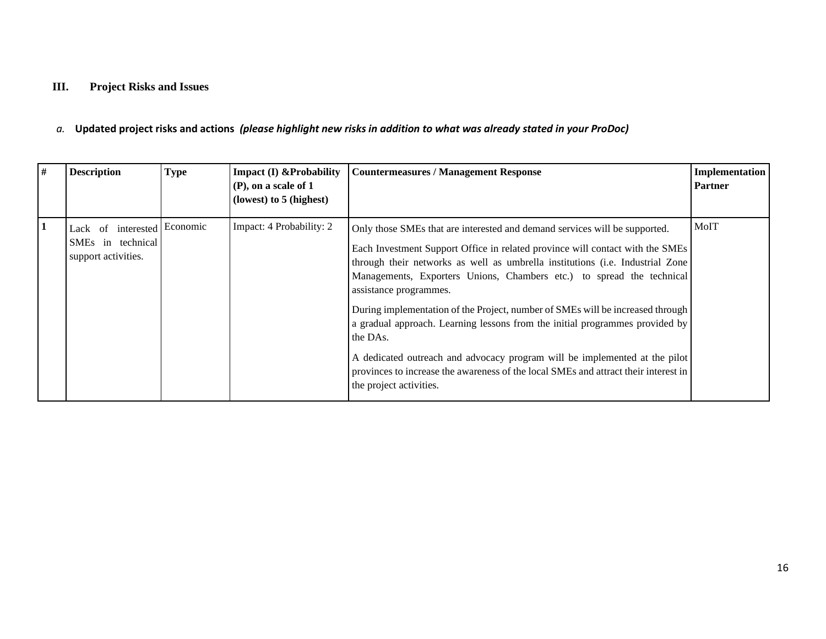# **III. Project Risks and Issues**

*a.* **Updated project risks and actions** *(please highlight new risks in addition to what was already stated in your ProDoc)*

| # | <b>Description</b>                                             | <b>Type</b> | Impact (I) & Probability<br>$(P)$ , on a scale of 1<br>(lowest) to 5 (highest) | <b>Countermeasures / Management Response</b>                                                                                                                                                                                                                                                                                                                                                                                                                                                                                                                                                                                                                                                                                  | Implementation<br><b>Partner</b> |
|---|----------------------------------------------------------------|-------------|--------------------------------------------------------------------------------|-------------------------------------------------------------------------------------------------------------------------------------------------------------------------------------------------------------------------------------------------------------------------------------------------------------------------------------------------------------------------------------------------------------------------------------------------------------------------------------------------------------------------------------------------------------------------------------------------------------------------------------------------------------------------------------------------------------------------------|----------------------------------|
|   | Lack of interested<br>SMEs in technical<br>support activities. | Economic    | Impact: 4 Probability: 2                                                       | Only those SMEs that are interested and demand services will be supported.<br>Each Investment Support Office in related province will contact with the SMEs<br>through their networks as well as umbrella institutions (i.e. Industrial Zone<br>Managements, Exporters Unions, Chambers etc.) to spread the technical<br>assistance programmes.<br>During implementation of the Project, number of SMEs will be increased through<br>a gradual approach. Learning lessons from the initial programmes provided by<br>the DAs.<br>A dedicated outreach and advocacy program will be implemented at the pilot<br>provinces to increase the awareness of the local SMEs and attract their interest in<br>the project activities. | MoIT                             |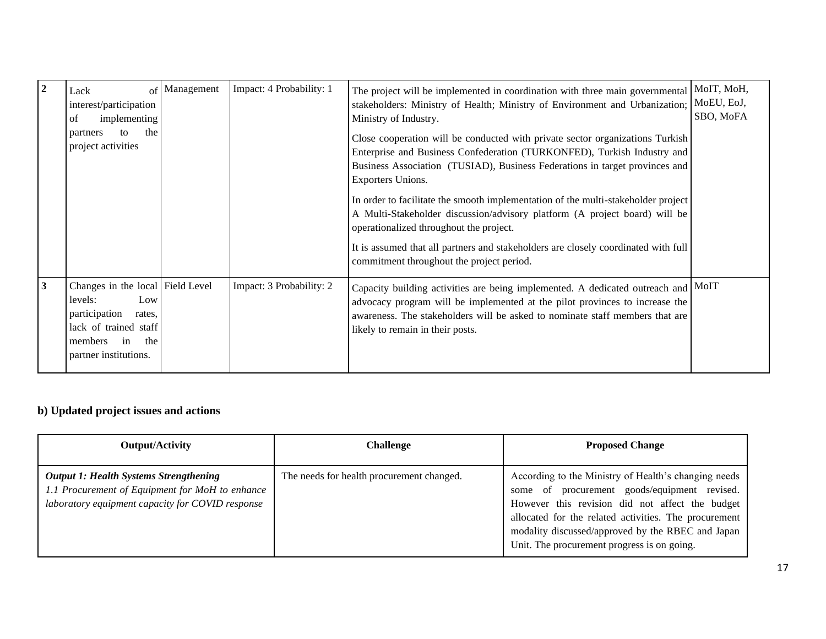| $\overline{2}$ | of<br>Lack<br>interest/participation<br>implementing<br>of<br>the<br>partners<br>to<br>project activities                                               | Management | Impact: 4 Probability: 1 | The project will be implemented in coordination with three main governmental<br>stakeholders: Ministry of Health; Ministry of Environment and Urbanization;<br>Ministry of Industry.<br>Close cooperation will be conducted with private sector organizations Turkish<br>Enterprise and Business Confederation (TURKONFED), Turkish Industry and<br>Business Association (TUSIAD), Business Federations in target provinces and<br>Exporters Unions.<br>In order to facilitate the smooth implementation of the multi-stakeholder project<br>A Multi-Stakeholder discussion/advisory platform (A project board) will be<br>operationalized throughout the project.<br>It is assumed that all partners and stakeholders are closely coordinated with full<br>commitment throughout the project period. | MoIT, MoH,<br>MoEU, EoJ,<br>SBO, MoFA |
|----------------|---------------------------------------------------------------------------------------------------------------------------------------------------------|------------|--------------------------|-------------------------------------------------------------------------------------------------------------------------------------------------------------------------------------------------------------------------------------------------------------------------------------------------------------------------------------------------------------------------------------------------------------------------------------------------------------------------------------------------------------------------------------------------------------------------------------------------------------------------------------------------------------------------------------------------------------------------------------------------------------------------------------------------------|---------------------------------------|
| $\mathbf{3}$   | Changes in the local Field Level<br>levels:<br>Low<br>participation<br>rates,<br>lack of trained staff<br>members<br>the<br>in<br>partner institutions. |            | Impact: 3 Probability: 2 | Capacity building activities are being implemented. A dedicated outreach and MoIT<br>advocacy program will be implemented at the pilot provinces to increase the<br>awareness. The stakeholders will be asked to nominate staff members that are<br>likely to remain in their posts.                                                                                                                                                                                                                                                                                                                                                                                                                                                                                                                  |                                       |

# **b) Updated project issues and actions**

| <b>Output/Activity</b>                                                                                                                               | Challenge                                 | <b>Proposed Change</b>                                                                                                                                                                                                                                                                                               |
|------------------------------------------------------------------------------------------------------------------------------------------------------|-------------------------------------------|----------------------------------------------------------------------------------------------------------------------------------------------------------------------------------------------------------------------------------------------------------------------------------------------------------------------|
| <b>Output 1: Health Systems Strengthening</b><br>1.1 Procurement of Equipment for MoH to enhance<br>laboratory equipment capacity for COVID response | The needs for health procurement changed. | According to the Ministry of Health's changing needs<br>some of procurement goods/equipment revised.<br>However this revision did not affect the budget<br>allocated for the related activities. The procurement<br>modality discussed/approved by the RBEC and Japan<br>Unit. The procurement progress is on going. |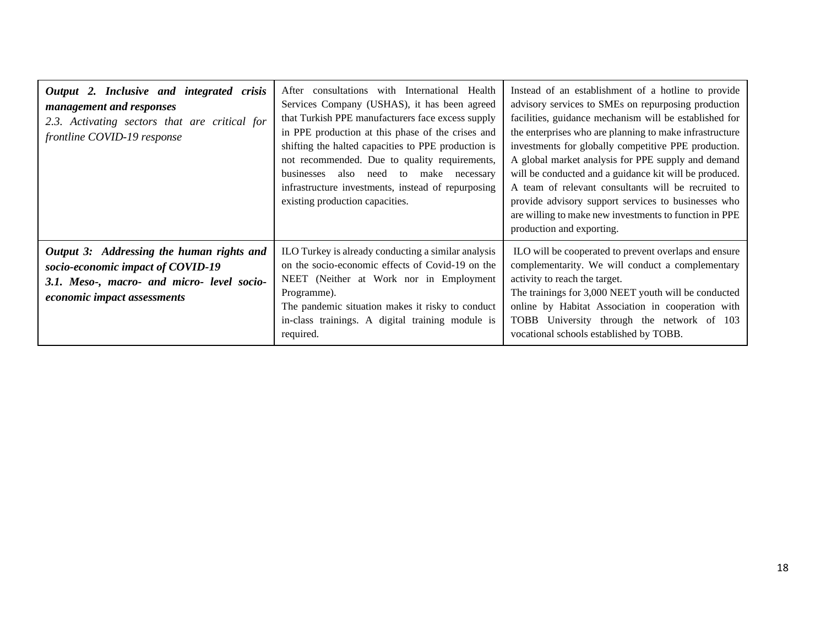| Output 2. Inclusive and integrated crisis<br>management and responses<br>2.3. Activating sectors that are critical for<br>frontline COVID-19 response       | After consultations with International Health<br>Services Company (USHAS), it has been agreed<br>that Turkish PPE manufacturers face excess supply<br>in PPE production at this phase of the crises and<br>shifting the halted capacities to PPE production is<br>not recommended. Due to quality requirements,<br>businesses also need to make necessary<br>infrastructure investments, instead of repurposing<br>existing production capacities. | Instead of an establishment of a hotline to provide<br>advisory services to SMEs on repurposing production<br>facilities, guidance mechanism will be established for<br>the enterprises who are planning to make infrastructure<br>investments for globally competitive PPE production.<br>A global market analysis for PPE supply and demand<br>will be conducted and a guidance kit will be produced.<br>A team of relevant consultants will be recruited to<br>provide advisory support services to businesses who<br>are willing to make new investments to function in PPE<br>production and exporting. |
|-------------------------------------------------------------------------------------------------------------------------------------------------------------|----------------------------------------------------------------------------------------------------------------------------------------------------------------------------------------------------------------------------------------------------------------------------------------------------------------------------------------------------------------------------------------------------------------------------------------------------|--------------------------------------------------------------------------------------------------------------------------------------------------------------------------------------------------------------------------------------------------------------------------------------------------------------------------------------------------------------------------------------------------------------------------------------------------------------------------------------------------------------------------------------------------------------------------------------------------------------|
| Output 3: Addressing the human rights and<br>socio-economic impact of COVID-19<br>3.1. Meso-, macro- and micro- level socio-<br>economic impact assessments | ILO Turkey is already conducting a similar analysis<br>on the socio-economic effects of Covid-19 on the<br>NEET (Neither at Work nor in Employment<br>Programme).<br>The pandemic situation makes it risky to conduct<br>in-class trainings. A digital training module is<br>required.                                                                                                                                                             | ILO will be cooperated to prevent overlaps and ensure<br>complementarity. We will conduct a complementary<br>activity to reach the target.<br>The trainings for 3,000 NEET youth will be conducted<br>online by Habitat Association in cooperation with<br>TOBB University through the network of 103<br>vocational schools established by TOBB.                                                                                                                                                                                                                                                             |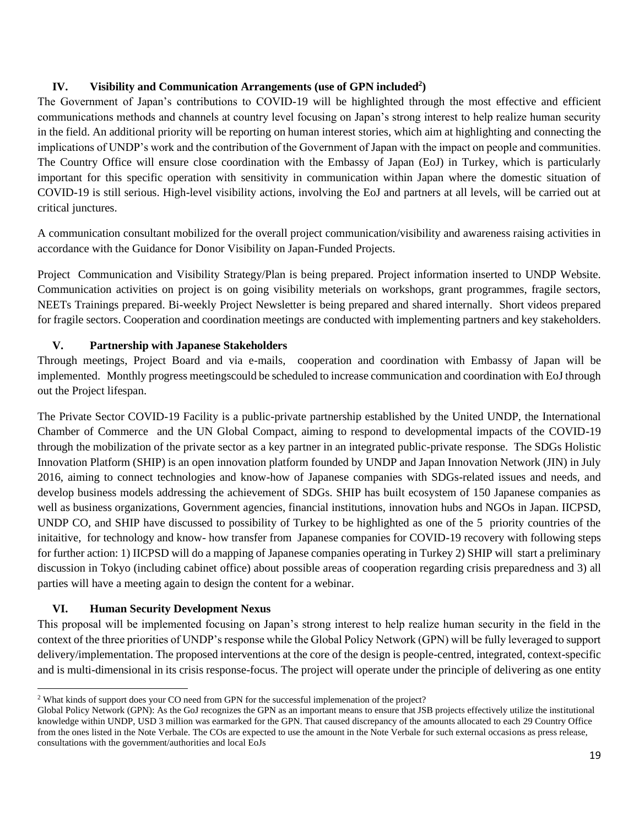# **IV. Visibility and Communication Arrangements (use of GPN included<sup>2</sup> )**

The Government of Japan's contributions to COVID-19 will be highlighted through the most effective and efficient communications methods and channels at country level focusing on Japan's strong interest to help realize human security in the field. An additional priority will be reporting on human interest stories, which aim at highlighting and connecting the implications of UNDP's work and the contribution of the Government of Japan with the impact on people and communities. The Country Office will ensure close coordination with the Embassy of Japan (EoJ) in Turkey, which is particularly important for this specific operation with sensitivity in communication within Japan where the domestic situation of COVID-19 is still serious. High-level visibility actions, involving the EoJ and partners at all levels, will be carried out at critical junctures.

A communication consultant mobilized for the overall project communication/visibility and awareness raising activities in accordance with the Guidance for Donor Visibility on Japan-Funded Projects.

Project Communication and Visibility Strategy/Plan is being prepared. Project information inserted to UNDP Website. Communication activities on project is on going visibility meterials on workshops, grant programmes, fragile sectors, NEETs Trainings prepared. Bi-weekly Project Newsletter is being prepared and shared internally. Short videos prepared for fragile sectors. Cooperation and coordination meetings are conducted with implementing partners and key stakeholders.

# **V. Partnership with Japanese Stakeholders**

Through meetings, Project Board and via e-mails, cooperation and coordination with Embassy of Japan will be implemented. Monthly progress meetingscould be scheduled to increase communication and coordination with EoJ through out the Project lifespan.

The Private Sector COVID-19 Facility is a public-private partnership established by the United UNDP, the International Chamber of Commerce and the UN Global Compact, aiming to respond to developmental impacts of the COVID-19 through the mobilization of the private sector as a key partner in an integrated public-private response. The SDGs Holistic Innovation Platform (SHIP) is an open innovation platform founded by UNDP and Japan Innovation Network (JIN) in July 2016, aiming to connect technologies and know-how of Japanese companies with SDGs-related issues and needs, and develop business models addressing the achievement of SDGs. SHIP has built ecosystem of 150 Japanese companies as well as business organizations, Government agencies, financial institutions, innovation hubs and NGOs in Japan. IICPSD, UNDP CO, and SHIP have discussed to possibility of Turkey to be highlighted as one of the 5 priority countries of the initaitive, for technology and know- how transfer from Japanese companies for COVID-19 recovery with following steps for further action: 1) IICPSD will do a mapping of Japanese companies operating in Turkey 2) SHIP will start a preliminary discussion in Tokyo (including cabinet office) about possible areas of cooperation regarding crisis preparedness and 3) all parties will have a meeting again to design the content for a webinar.

### **VI. Human Security Development Nexus**

This proposal will be implemented focusing on Japan's strong interest to help realize human security in the field in the context of the three priorities of UNDP's response while the Global Policy Network (GPN) will be fully leveraged to support delivery/implementation. The proposed interventions at the core of the design is people-centred, integrated, context-specific and is multi-dimensional in its crisis response-focus. The project will operate under the principle of delivering as one entity

<sup>2</sup> What kinds of support does your CO need from GPN for the successful implemenation of the project?

Global Policy Network (GPN): As the GoJ recognizes the GPN as an important means to ensure that JSB projects effectively utilize the institutional knowledge within UNDP, USD 3 million was earmarked for the GPN. That caused discrepancy of the amounts allocated to each 29 Country Office from the ones listed in the Note Verbale. The COs are expected to use the amount in the Note Verbale for such external occasions as press release, consultations with the government/authorities and local EoJs